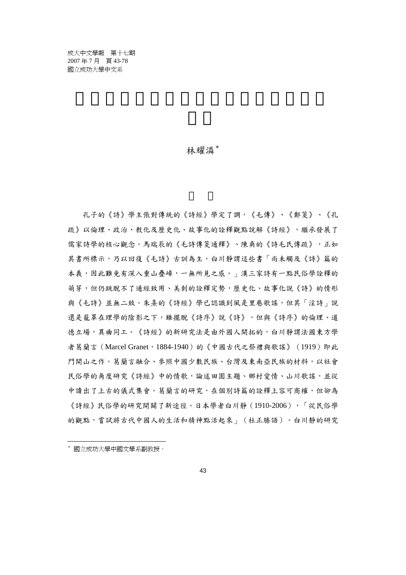成大中文學報 第十七期 2007 年 7 月 頁 43-78 國立成功大學中文系

### 林耀潾\*

孔子的《詩》學主張對傳統的《詩經》學定了調,《毛傳》、《鄭箋》、《孔 疏》以倫理、政治、教化及歷史化、故事化的詮釋觀點說解《詩經》,繼承發展了 儒家詩學的核心觀念。馬瑞辰的《毛詩傳箋通釋》、陳奐的《詩毛氏傳疏》,正如 其書所標示,乃以回復《毛詩》古訓為主,白川靜謂這些書「尚未觸及《詩》篇的 本義,因此難免有深入重山疊嶂,一無所見之感。」漢三家詩有一點民俗學詮釋的 萌芽,但仍跳脫不了通經致用、美刺的詮釋定勢,歷史化、故事化說《詩》的情形 與《毛詩》並無二致。朱喜的《詩經》學已認識到風是里巷歌謠,但其「淫詩」說 還是籠罩在理學的陰影之下,雖擺脫《詩序》說《詩》,但與《詩序》的倫理、道 德立場,異曲同工。《詩經》的新研究法是由外國人開拓的,白川靜謂法國東方學 者葛蘭言(Marcel Granet, 1884-1940)的《中國古代之祭禮與歌謠》(1919)即此 門開山之作。葛蘭言融合、參照中國少數民族、台灣及東南亞民族的材料,以社會 民俗學的角度研究《詩經》中的情歌,論述田園主題、鄉村愛情、山川歌謠,並從 中讀出了上古的儀式集會。葛蘭言的研究,在個別詩篇的詮釋上容可商榷,但卻為 《詩經》民俗學的研究開闢了新途徑。日本學者白川靜(1910-2006),「從民俗學 的觀點,嘗試將古代中國人的生活和精神點活起來」(杜正勝語)。白川靜的研究

 $\overline{a}$ \* 國立成功大學中國文學系副教授。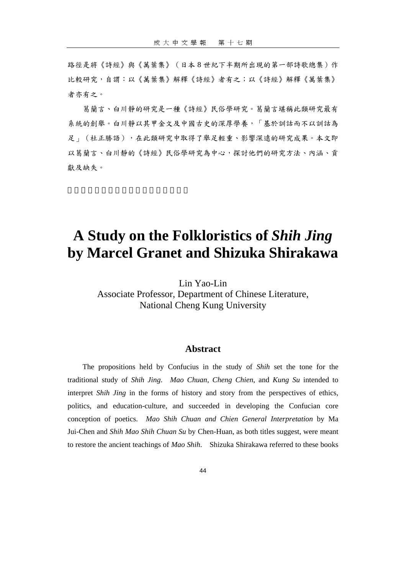路徑是將《詩經》與《萬葉集》(日本8世紀下半期所出現的第一部詩歌總集)作 比較研究,自謂:以《萬葉集》解釋《詩經》者有之;以《詩經》解釋《萬葉集》 者亦有之。

葛蘭言、白川靜的研究是一種《詩經》民俗學研究。葛蘭言堪稱此類研究最有 系統的創舉。白川靜以其甲金文及中國古史的深厚學養,「基於訓詁而不以訓詁為 足」(杜正勝語),在此類研究中取得了舉足輕重、影響深遠的研究成果。本文即 以葛蘭言、白川靜的《詩經》民俗學研究為中心,探討他們的研究方法、內涵、貢 獻及缺失。

# **A Study on the Folkloristics of** *Shih Jing*  **by Marcel Granet and Shizuka Shirakawa**

Lin Yao-Lin

Associate Professor, Department of Chinese Literature, National Cheng Kung University

### **Abstract**

The propositions held by Confucius in the study of *Shih* set the tone for the traditional study of *Shih Jing*. *Mao Chuan*, *Cheng Chien*, and *Kung Su* intended to interpret *Shih Jing* in the forms of history and story from the perspectives of ethics, politics, and education-culture, and succeeded in developing the Confucian core conception of poetics. *Mao Shih Chuan and Chien General Interpretation* by Ma Jui-Chen and *Shih Mao Shih Chuan Su* by Chen-Huan, as both titles suggest, were meant to restore the ancient teachings of *Mao Shih*. Shizuka Shirakawa referred to these books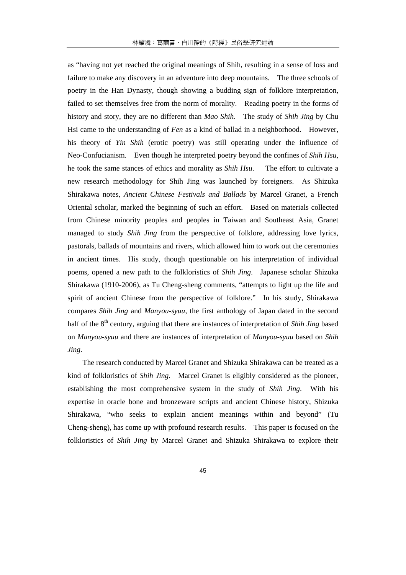as "having not yet reached the original meanings of Shih, resulting in a sense of loss and failure to make any discovery in an adventure into deep mountains. The three schools of poetry in the Han Dynasty, though showing a budding sign of folklore interpretation, failed to set themselves free from the norm of morality. Reading poetry in the forms of history and story, they are no different than *Mao Shih*. The study of *Shih Jing* by Chu Hsi came to the understanding of *Fen* as a kind of ballad in a neighborhood. However, his theory of *Yin Shih* (erotic poetry) was still operating under the influence of Neo-Confucianism. Even though he interpreted poetry beyond the confines of *Shih Hsu*, he took the same stances of ethics and morality as *Shih Hsu*. The effort to cultivate a new research methodology for Shih Jing was launched by foreigners. As Shizuka Shirakawa notes, *Ancient Chinese Festivals and Ballads* by Marcel Granet, a French Oriental scholar, marked the beginning of such an effort. Based on materials collected from Chinese minority peoples and peoples in Taiwan and Southeast Asia, Granet managed to study *Shih Jing* from the perspective of folklore, addressing love lyrics, pastorals, ballads of mountains and rivers, which allowed him to work out the ceremonies in ancient times. His study, though questionable on his interpretation of individual poems, opened a new path to the folkloristics of *Shih Jing*. Japanese scholar Shizuka Shirakawa (1910-2006), as Tu Cheng-sheng comments, "attempts to light up the life and spirit of ancient Chinese from the perspective of folklore." In his study, Shirakawa compares *Shih Jing* and *Manyou-syuu*, the first anthology of Japan dated in the second half of the 8<sup>th</sup> century, arguing that there are instances of interpretation of *Shih Jing* based on *Manyou-syuu* and there are instances of interpretation of *Manyou-syuu* based on *Shih Jing*.

The research conducted by Marcel Granet and Shizuka Shirakawa can be treated as a kind of folkloristics of *Shih Jing*. Marcel Granet is eligibly considered as the pioneer, establishing the most comprehensive system in the study of *Shih Jing*. With his expertise in oracle bone and bronzeware scripts and ancient Chinese history, Shizuka Shirakawa, "who seeks to explain ancient meanings within and beyond" (Tu Cheng-sheng), has come up with profound research results. This paper is focused on the folkloristics of *Shih Jing* by Marcel Granet and Shizuka Shirakawa to explore their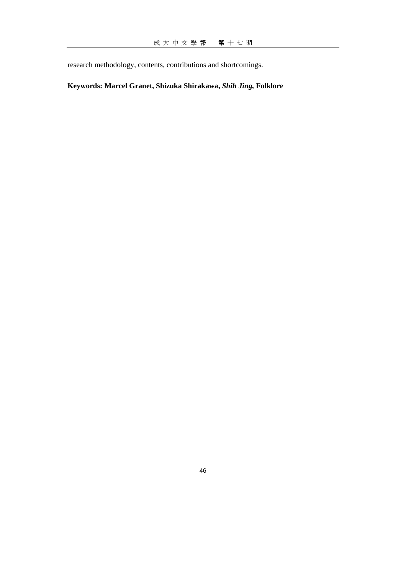research methodology, contents, contributions and shortcomings.

## **Keywords: Marcel Granet, Shizuka Shirakawa,** *Shih Jing,* **Folklore**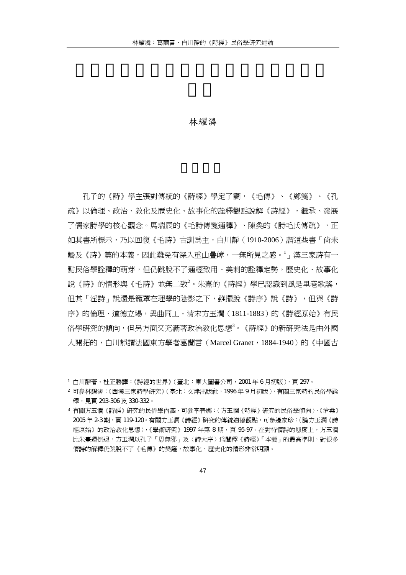#### 林耀潾

孔子的《詩》學主張對傳統的《詩經》學定了調,《毛傳》、《鄭箋》、《孔 疏》以倫理、政治、教化及歷史化、故事化的詮釋觀點說解《詩經》,繼承、發展 了儒家詩學的核心觀念。馬瑞辰的《毛詩傳箋通釋》、陳奐的《詩毛氏傳疏》,正 如其書所標示,乃以回復《毛詩》古訓為主,白川靜(1910-2006)謂這些書「尚未 觸及《詩》篇的本義,因此難免有深入重山疊嶂,一無所見之感。<sup>1</sup>」漢三家詩有一 點民俗學詮釋的萌芽,但仍跳脫不了通經致用、美刺的詮釋定勢,歷史化、故事化 說《詩》的情形與《毛詩》並無二致<sup>2</sup>。朱熹的《詩經》學已認識到風是里巷歌謠, 但其「淫詩」說還是籠罩在理學的陰影之下,雖擺脫《詩序》說《詩》,但與《詩 序》的倫理、道德立場,異曲同工。清末方玉潤(1811-1883)的《詩經原始》有民 俗學研究的傾向,但另方面又充滿著政治教化思想<sup>3</sup>。《詩經》的新研究法是由外國 人開拓的,白川靜謂法國東方學者葛蘭言(Marcel Granet,1884-1940)的《中國古

<sup>1</sup> 白川靜著、杜正勝譯:《詩經的世界》( 臺北:東大圖書公司,2001 年 6 月初版 ),百 297。

<sup>2</sup> 可參林耀潾:《西漢三家詩學研究》(臺北:文津出版社,1996 年 9 月初版),有關三家詩的民俗學詮 釋,見頁 293-306 及 330-332。

<sup>3</sup> 有關方玉潤《詩經》研究的民俗學內涵,可參李晉娜:〈方玉潤《詩經》研究的民俗學傾向〉,《滄桑》 2005 年 2-3 期,頁 119-120。有關方玉潤《詩經》研究的傳統道德觀點,可參邊家珍:〈論方玉潤《詩 經原始》的政治教化思想〉,《學術研究》1997 年第 8 期,頁 95-97。在對待情詩的態度上,方玉潤 比朱熹還倒退,方玉潤以孔子「思無邪」及〈詩大序〉為闡釋《詩經》「本義」的最高準則,對很多 情詩的解釋仍跳脫不了《毛傳》的樊籬,故事化、歷史化的情形非常明顯。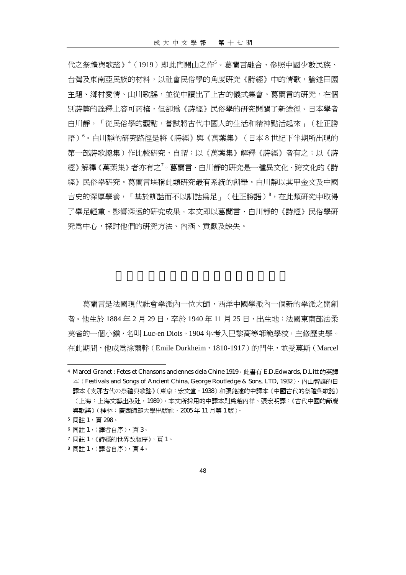代之祭禮與歌謠》<sup>4</sup>(1919)即此門開山之作<sup>5</sup>。葛蘭言融合、參照中國少數民族、 台灣及東南亞民族的材料,以社會民俗學的角度研究《詩經》中的情歌,論述田園 主題、鄉村愛情、山川歌謠,並從中讀出了上古的儀式集會。葛蘭言的研究,在個 別詩篇的詮釋上容可商榷,但卻為《詩經》民俗學的研究開闢了新途徑。日本學者 白川靜,「從民俗學的觀點,嘗試將古代中國人的生活和精神點活起來」(杜正勝 語)<sup>6</sup> 。白川靜的研究路徑是將《詩經》與《萬葉集》(日本 8 世紀下半期所出現的 第一部詩歌總集)作比較研究,自謂:以《萬葉集》解釋《詩經》者有之;以《詩 經》解釋《萬葉集》者亦有之<sup>7</sup>。葛蘭言、白川靜的硏究是一種異文化、跨文化的《詩 經》民俗學研究。葛蘭言堪稱此類研究最有系統的創舉。白川靜以其甲金文及中國 古史的深厚學養,「基於訓詁而不以訓詁爲足」(杜正勝語)<sup>8</sup>,在此類研究中取得 了舉足輕重、影響深遠的研究成果。本文即以葛蘭言、白川靜的《詩經》民俗學研 究為中心,探討他們的研究方法、內涵、貢獻及缺失。

葛蘭言是法國現代社會學派內一位大師,西洋中國學派內一個新的學派之開創 者。他生於 1884年2月29日,卒於 1940年11月25日,出生地:法國東南部法柔 莫省的一個小鎮,名叫 Luc-en Diois。1904 年考入巴黎高等師範學校,主修歷史學。 在此期間,他成為涂爾幹(Emile Durkheim,1810-1917)的門生,並受莫斯(Marcel

<sup>4</sup> Marcel Granet : Fetes et Chansons anciennes dela Chine 1919。此書有 E.D.Edwards, D.Litt 的英譯 本(Festivals and Songs of Ancient China, George Routledge & Sons, LTD, 1932)、內山智雄的日 譯本《支那古代の祭禮與歌謠》(東京:宏文堂,1938)和張銘遠的中譯本《中國古代的祭禮與歌謠》 (上海:上海文藝出版社,1989)。本文所採用的中譯本則為趙丙祥、張宏明譯:《古代中國的節慶 與歌謠》(桂林:廣西師範大學出版社,2005 年 11 月第 1 版)。

<sup>5</sup> 同註 1,頁 298。

<sup>6</sup> 同註 1,〈譯者自序〉,頁 3。

<sup>7</sup> 同註 1,《詩經的世界改版序》,頁 1。

<sup>8</sup> 同註 1,〈譯者自序〉,頁 4。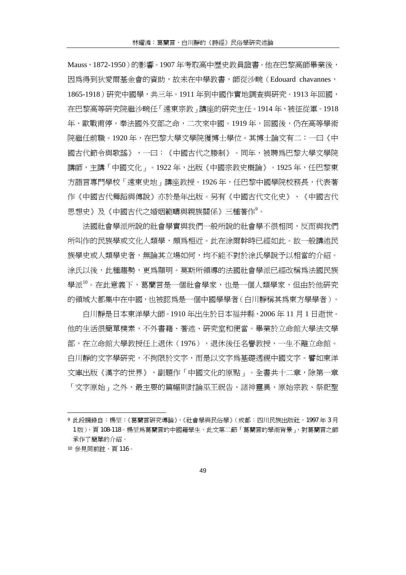Mauss,1872-1950 ) 的影響。1907 年考取高中歷史教員證書。他在巴黎高師畢業後, 因為得到狄愛爾基金會的資助,故未在中學教書,師從沙畹(Edouard chavannes, 1865-1918)研究中國學,共三年。1911 年到中國作實地調查與研究。1913 年回國, 在巴黎高等研究院繼沙畹任「遠東宗教」講座的研究主任。1914 年,被征從軍。1918 年,歐戰甫停,奉法國外交部之命,二次來中國。1919 年,回國後,仍在高等學術 院繼任前職。1920 年,在巴黎大學文學院獲博士學位。其博士論文有二:一曰《中 國古代節令與歌謠》,一曰:《中國古代之媵制》。同年,被聘為巴黎大學文學院 講師,主講「中國文化」。1922年,出版《中國宗教史概論》。1925年,任巴黎東 方語言專門學校「遠東史地」講座教授。1926 年,任巴黎中國學院校務長,代表著 作《中國古代舞蹈與傳說》亦於是年出版。另有《中國古代文化史》、《中國古代 思想史》及《中國古代之婚姻範疇與親族關係》三種著作<sup>9</sup>。

法國社會學派所說的社會學實與我們一般所說的社會學不很相同,反而與我們 所叫作的民族學或文化人類學,頗為相近。此在涂爾幹時已經如此。故一般講述民 族學史或人類學史者,無論其立場如何,均不能不對於涂氏學說予以相當的介紹。 涂氏以後,此種趨勢,更為顯明。莫斯所領導的法國社會學派已經改稱為法國民族 學派10。在此意義下,葛蘭言是一個社會學家,也是一個人類學家,但由於他研究 的領域大都集中在中國,也被認為是一個中國學學者(白川靜稱其為東方學學者)。

白川靜是日本東洋學大師。1910 年出生於日本福井縣,2006 年 11 月 1 日逝世。 他的生活很簡單樸素,不外書籍、著述、研究室和便當。畢業於立命館大學法文學 部,在立命館大學教授任上退休(1976), 退休後任名譽教授,一生不離立命館。 白川靜的文字學研究,不拘限於文字,而是以文字為基礎透視中國文字。譬如東洋 文庫出版《漢字的世界》,副題作「中國文化的原點」。全書共十二章,除第一章 「文字原始」之外,最主要的篇幅則討論巫王祝告、諸神靈異、原始宗教、祭祀聖

<sup>9</sup> 此段摘錄自:楊堃:《葛蘭言研究導論》,《社會學與民俗學》(成都:四川民族出版社,1997 年 3 月 1版),頁108-118。楊堃爲葛蘭言的中國籍學生,此文第二節「葛蘭言的學術背景」,對葛蘭言之師 承作了簡單的介紹。

<sup>10</sup> 參見同前註,頁 116。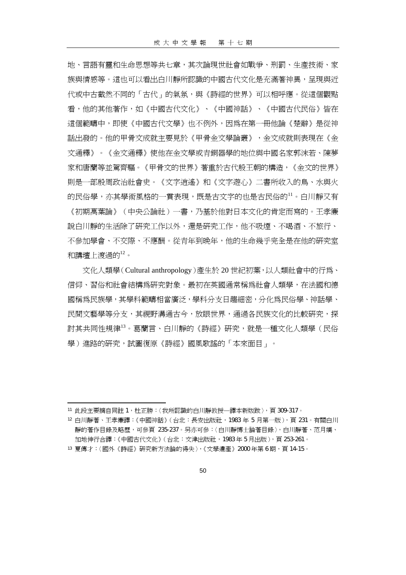地、言語有靈和生命思想等共七章,其次論現世社會如戰爭、刑罰、生產技術、家 族與情感等。這也可以看出白川靜所認識的中國古代文化是充滿著神異,早現與沂 代或中古截然不同的「古代」的氣氛,與《詩經的世界》可以相呼應。從這個觀點 看,他的其他著作,如《中國古代文化》、《中國神話》、《中國古代民俗》皆在 這個範疇中,即使《中國古代文學》也不例外,因為在第一冊他論《楚辭》是從神 話出發的。他的甲骨文成就主要見於《甲骨金文學論叢》,金文成就則表現在《金 文通釋》。《金文通釋》使他在金文學或青銅器學的地位與中國名家郭沫若、陳夢 家和唐蘭等並駕齊驅。《甲骨文的世界》著重於古代殷王朝的構造,《金文的世界》 則是一部殷周政治社會史。《文字逍遙》和《文字遊心》二書所收入的鳥、水與火 的民俗學,亦其學術風格的一貫表現,既是古文字的也是古民俗的"。白川靜又有 《初期萬葉論》(中央公論社)一書,乃基於他對日本文化的肯定而寫的。王孝廉 說白川靜的生活除了研究工作以外,還是研究工作,他不吸煙、不喝酒、不旅行、 不參加學會、不交際、不應酬。從青年到晚年,他的生命幾乎完全是在他的研究室 和講壇上渡渦的 $12$ 。

文化人類學(Cultural anthropology)產生於 20 世紀初葉,以人類社會中的行為、 信仰、習俗和社會結構為研究對象。最初在英國通常稱為社會人類學,在法國和德 國稱為民族學,其學科範疇相當廣泛,學科分支日趨細密,分化為民俗學、神話學、 民間文藝學等分支,其視野溝通古今,放眼世界,通過各民族文化的比較研究,探 討其共同性規律<sup>13</sup>。葛蘭言、白川靜的《詩經》研究,就是一種文化人類學(民俗 學)進路的研究,試圖復原《詩經》國風歌謠的「本來面目」。

<sup>11</sup> 此段主要摘自同註 1,杜正勝:〈我所認識的白川靜教授一譯本新版跋〉,頁 309-317。

<sup>12</sup> 白川靜著、王孝廉譯:《中國神話》(台北:長安出版社,1983年5月第一版), 頁 231。有關白川 靜的著作目錄及略歷,可參頁 235-237。另亦可參:〈白川靜博士論著目錄〉,白川靜著、范月嬌、 加地伸行合譯:《中國古代文化》(台北:文津出版社,1983年5月出版),頁 253-261。

<sup>13</sup> 夏傳才:〈國外《詩經》研究新方法論的得失〉,《文學遺產》2000年第6期,頁14-15。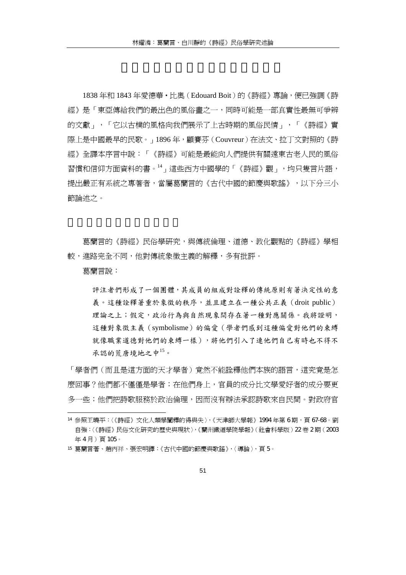1838 年和 1843 年愛德華‧比奧(Edouard Boit)的《詩經》專論,便已強調《詩 經》是「東亞傳給我們的最出色的風俗畫之一,同時可能是一部真實性最無可爭辨 的文獻」,「它以古樸的風格向我們展示了上古時期的風俗民情」,「《詩經》實 際上是中國最早的民歌。」1896 年,顧賽芬(Couvreur)在法文、拉丁文對照的《詩 經》全譯本序言中說:「《詩經》可能是最能向人們提供有關遠東古老人民的風俗 習慣和信仰方面資料的書。<sup>14</sup>」這些西方中國學的「《詩經》觀」,均只隻言片語, 提出嚴正有系統之專著者,當屬葛蘭言的《古代中國的節慶與歌謠》,以下分三小 節論述之。

葛蘭言的《詩經》民俗學研究,與傳統倫理、道德、教化觀點的《詩經》學相 較,進路完全不同,他對傳統象徵主義的解釋,多有批評。

葛蘭言說:

 $\overline{a}$ 

評注者們形成了一個團體,其成員的組成對詮釋的傳統原則有著決定性的意 義。這種詮釋著重於象徵的秩序,並且建立在一種公共正義(droit public) 理論之上;假定,政治行為與自然現象間存在著一種對應關係。我將證明, 這種對象徵主義(symbolisme)的偏愛(學者們感到這種偏愛對他們的束縛 就像職業道德對他們的束縛一樣),將他們引入了連他們自己有時也不得不 承認的荒唐境地之中<sup>15</sup>。

「學者們(而且是這方面的天才學者)竟然不能詮釋他們本族的語言,這究竟是怎 麼回事?他們都不僅僅是學者;在他們身上,官員的成分比文學愛好者的成分要更 多一些;他們把詩歌服務於政治倫理,因而沒有辦法承認詩歌來自民間。對政府官

<sup>14</sup> 參照王曉平:〈《詩經》文化人類學闡釋的得與失〉,《天津師大學報》1994 年第 6 期,頁 67-68。劉 自強:〈《詩經》民俗文化研究的歷史與現狀〉,《蘭州鐵道學院學報》(社會科學版)22 卷 2 期(2003 年4月)百105。

<sup>15</sup> 葛蘭言著、趙丙祥、張宏明譯:《古代中國的節慶與歌謠》,〈導論〉,頁 5。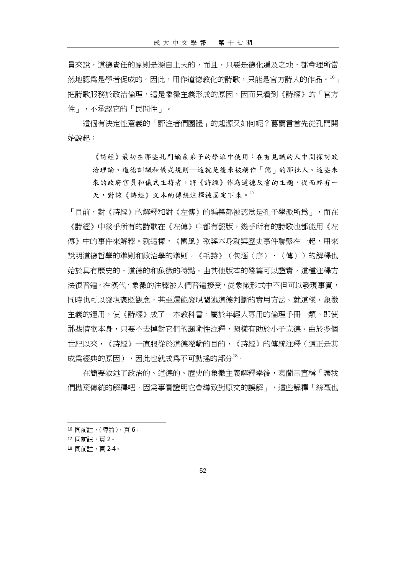員來說,道德責任的原則是源自上天的,而且,只要是德化遍及之地,都會理所當 然地認為是學者促成的。因此,用作道德教化的詩歌,只能是官方詩人的作品。<sup>16</sup>」 把詩歌服務於政治倫理,這是象徵主義形成的原因,因而只看到《詩經》的「官方 性」,不承認它的「民間性」。

這個有決定性意義的「評注者們團體」的起源又如何呢?葛蘭言首先從孔門開 始說起:

《詩經》最初在那些孔門嫡系弟子的學派中使用:在有見識的人中間探討政 治理論、道德訓誡和儀式規則─這就是後來被稱作「儒」的那批人。這些未 來的政府官員和儀式主持者,將《詩經》作為道德反省的主題,從而終有一 天,對該《詩經》文本的傳統注釋被固定下來。<sup>17</sup>

「目前,對《詩經》的解釋和對《左傳》的編纂都被認爲是孔子學派所爲」,而在 《詩經》中幾乎所有的詩歌在《左傳》中都有翻版,幾乎所有的詩歌也都能用《左 傳》中的事件來解釋。就這樣,《國風》歌謠本身就與歷史事件聯繫在一起,用來 說明道德哲學的準則和政治學的準則。《毛詩》(包涵〈序〉、〈傳〉)的解釋也 始於具有歷史的、道德的和象徵的特點。由其他版本的殘篇可以證實,這種注釋方 法很普遍。在漢代,象徵的注釋被人們普遍接受,從象徵形式中不但可以發現事實, 同時也可以發現褒貶觀念,甚至還能發現闡述道德判斷的實用方法。就這樣,象徵 主義的運用,使《詩經》成了一本教科書,屬於年輕人專用的倫理手冊一類。即使 那些情歌本身,只要不去掉對它們的諷喻性注釋,照樣有助於小子立德。由於多個 世紀以來,《詩經》一直服從於道德灌輸的目的,《詩經》的傳統注釋(這正是其 成為經典的原因),因此也就成為不可動搖的部分<sup>18</sup>。

在簡要敘述了政治的、道德的、歷史的象徵主義解釋學後,葛蘭言宣稱「讓我 們拋棄傳統的解釋吧,因為事實證明它會導致對原文的誤解」,這些解釋「絲毫也

<sup>16</sup> 同前註,〈導論〉,頁 6。

<sup>17</sup> 同前註,頁 2。

<sup>18</sup> 同前註,頁 2-4。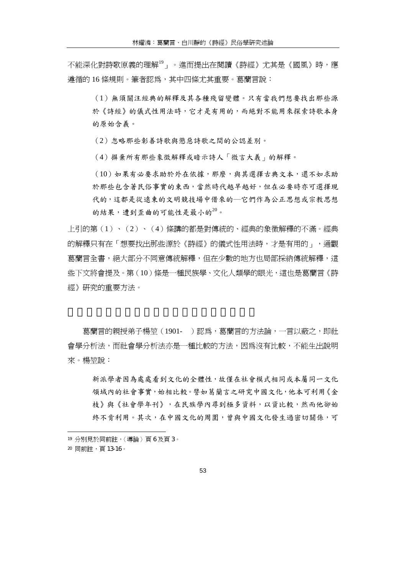不能深化對詩歌原義的理解<sup>19</sup>」。進而提出在閱讀《詩經》尤其是《國風》時,應 遵循的 16 條規則。筆者認為,其中四條尤其重要。葛蘭言說:

(1)無須關注經典的解釋及其各種殘留變體。只有當我們想要找出那些源 於《詩經》的儀式性用法時,它才是有用的,而絕對不能用來探索詩歌本身 的原始含義。

(2)忽略那些彰善詩歌與懲惡詩歌之間的公認差別。

(4)摒棄所有那些象徵解釋或暗示詩人「微言大義」的解釋。

(10)如果有必要求助於外在依據,那麼,與其選擇古典文本,還不如求助 於那些包含著民俗事實的東西,當然時代越早越好,但在必要時亦可選擇現 代的,這都是從遠東的文明競技場中借來的一它們作為公正思想或宗教思想 的結果,遭到歪曲的可能性是最小的20。

上引的第(1)、(2)、(4)條講的都是對傳統的、經典的象徵解釋的不滿。經典 的解釋只有在「想要找出那些源於《詩經》的儀式性用法時,才是有用的」,通觀 葛蘭言全書,絕大部分不同意傳統解釋,但在少數的地方也局部採納傳統解釋,這 些下文將會提及。第(10)條是一種民族學、文化人類學的眼光,這也是葛蘭言《詩 經》研究的重要方法。

葛蘭言的親授弟子楊堃(1901- )認爲,葛蘭言的方法論,一言以蔽之,即社 會學分析法,而社會學分析法亦是一種比較的方法,因為沒有比較,不能生出說明 來。楊堃說:

新派學者因為處處看到文化的全體性,故僅在社會模式相同或本屬同一文化 領域內的社會事實,始相比較。譬如葛蘭言之研究中國文化,他本可利用《金 枝》與《社會學年刊》,在民族學內尋到極多資料,以資比較,然而他卻始 終不肯利用。其次,在中國文化的周圍,曾與中國文化發生過密切關係,可

<sup>19</sup> 分別見於同前註,〈導論〉頁 6 及頁 3。

<sup>20</sup> 同前註,頁 13-16。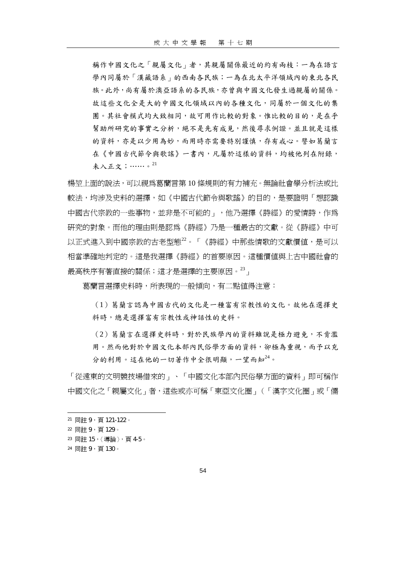稱作中國文化之「親屬文化」者,其親屬關係最近的約有兩枝:一為在語言 學內同屬於「漢藏語系」的西南各民族;一為在北太平洋領域內的東北各民 族。此外,尚有屬於澳亞語系的各民族,亦曾與中國文化發生過親屬的關係。 故這些文化全是大的中國文化領域以內的各種文化,同屬於一個文化的集 團。其社會模式均大致相同,故可用作比較的對象。惟比較的目的,是在乎 幫助所研究的事實之分析,絕不是先有成見,然後尋求例證。並且就是這樣 的資料,亦是以少用為妙,而用時亦需要特別謹慎,存有戒心。譬如葛蘭言 在《中國古代節令與歌謠》一書內,凡屬於這樣的資料,均被他列在附錄, 未入正文;⋯⋯。<sup>21</sup>

楊堃上面的說法,可以視為葛蘭言第 10 條規則的有力補充。無論社會學分析法或比 較法,均涉及史料的選擇,如《中國古代節令與歌謠》的目的,是要證明「想認識 中國古代宗教的一些事物,並非是不可能的」,他乃選擇《詩經》的愛情詩,作為 研究的對象。而他的理由則是認為《詩經》乃是一種最古的文獻。從《詩經》中可 以正式進入到中國宗教的古老型態22。「《詩經》中那些情歌的文獻價值,是可以 相當準確地判定的。這是我選擇《詩經》的首要原因。這種價值與上古中國社會的 最高秩序有著直接的關係;這才是選擇的主要原因。<sup>23</sup>」

葛蘭言選擇史料時,所表現的一般傾向,有二點值得注意:

(1)葛蘭言認為中國古代的文化是一種富有宗教性的文化。故他在選擇史 料時,總是選擇富有宗教性或神話性的史料。

(2)葛蘭言在選擇史料時,對於民族學內的資料雖說是極力避免,不肯濫 用。然而他對於中國文化本部內民俗學方面的資料,卻極為重視,而予以充 分的利用。這在他的一切著作中全很明顯,一望而知<sup>24</sup>。

「從遠東的文明競技場借來的」、「中國文化本部內民俗學方面的資料」即可稱作 中國文化之「親屬文化」者,這些或亦可稱「東亞文化圈」(「漢字文化圈」或「儒

- <sup>23</sup> 同註 15,〈導論〉,頁 4-5。
- 24 同註 9, 百130。

<sup>21</sup> 同註 9,頁 121-122。

<sup>22</sup> 同註 9,頁 129。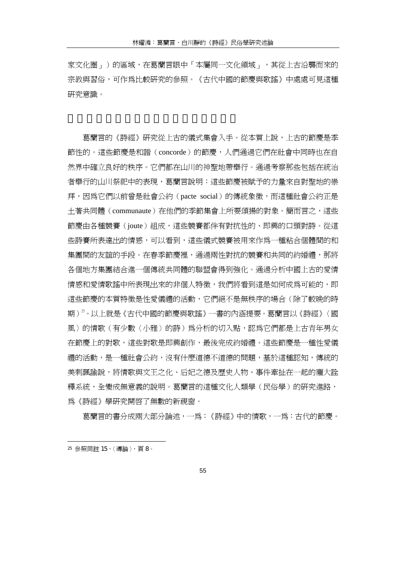家文化圈 | )的區域,在葛蘭言眼中「本屬同一文化領域 | ,其從上古沿襲而來的 宗教與習俗,可作為比較研究的參照。《古代中國的節慶與歌謠》中處處可見這種 研究意識。

葛蘭言的《詩經》研究從上古的儀式集會入手。從本質上說,上古的節慶是季 節性的。這些節慶是和諧(concorde)的節慶,人們通過它們在社會中同時也在自 然界中確立良好的秩序。它們都在山川的神聖地帶舉行。通過考察那些包括在統治 者舉行的山川祭祀中的表現,葛蘭言說明:這些節慶被賦予的力量來自對聖地的崇 拜,因為它們以前曾是社會公約(pacte social)的傳統象徵,而這種社會公約正是 土著共同體(communaute)在他們的季節集會上所要頌揚的對象。簡而言之,這些 節慶由各種競賽(joute)組成,這些競賽都伴有對抗性的、即興的口頭對詩。從這 些詩賽所表達出的情感,可以看到,這些儀式競賽被用來作為一種粘合個體間的和 集團間的友誼的手段。在春季節慶裡,通過兩性對抗的競賽和共同的約婚禮,那將 各個地方集團結合進一個傳統共同體的聯盟會得到強化。通過分析中國上古的愛情 情感和愛情歌謠中所表現出來的非個人特徵,我們將看到這是如何成為可能的,即 這些節慶的本質特徵是性愛儀禮的活動,它們絕不是無秩序的場合(除了較晚的時 期)25。以上就是《古代中國的節慶與歌謠》一書的內涵提要。葛蘭言以《詩經》〈國 風〉的情歌(有少數〈小雅〉的詩)爲分析的切入點,認爲它們都是上古青年男女 在節慶上的對歌,這些對歌是即興創作,最後完成約婚禮。這些節慶是一種性愛儀 禮的活動,是一種社會公約,沒有什麼道德不道德的問題,基於這種認知,傳統的 美刺諷諭說,將情歌與文王之化、后妃之德及歷史人物、事件牽扯在一起的龐大詮 釋系統,全變成無意義的說明。葛蘭言的這種文化人類學(民俗學)的研究淮路, 為《詩經》學研究開啟了無數的新視窗。

葛蘭言的書分成兩大部分論述,一為:《詩經》中的情歌,一為:古代的節慶。

 $\overline{a}$ <sup>25</sup> 參照同註 15,〈導論〉,頁 8。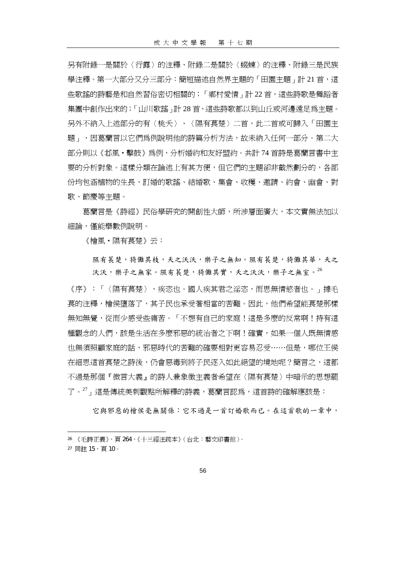另有附錄一是關於〈行露〉的注釋、附錄二是關於〈蝃蝀〉的注釋、附錄三是民族 學注釋。第一大部分又分三部分:簡短描述自然界主題的「田園主題」計 21 首,這 些歌謠的詩藝是和自然習俗密切相關的;「鄉村愛情」計 22 首,這些詩歌是舞蹈者 集團中創作出來的;「山川歌謠」計 28 首,這些詩歌都以到山丘或河邊遠足爲主題。 另外不納入上述部分的有〈桃夭〉、〈隰有萇楚〉二首,此二首或可歸入「田園主 題 – ,因葛蘭言以它們為例說明他的詩篇分析方法,故未納入任何一部分。第二大 部分則以《邶風·擊鼓》為例,分析婚約和友好盟約。共計 74 首詩是葛蘭言書中主 要的分析對象。這樣分類在論述上有其方便,但它們的主題卻非截然劃分的,各部 份均包涵植物的生長、訂婚的歌謠、結婚歌、集會、收穫、邀請、約會、幽會、對 歌、節慶等主題。

葛蘭言是《詩經》民俗學研究的開創性大師,所涉層面廣大,本文實無法加以 細論,僅能舉數例說明。

《檜風・隰有萇楚》云:

隰有萇楚,猗儺其枝,夭之沃沃,樂子之無知。隰有萇楚,猗儺其華,夭之 沃沃,樂子之無家。隰有萇楚,猗儺其實,天之沃沃,樂子之無室。26

《序》:「〈隰有萇楚〉,疾恣也。國人疾其君之淫恣,而思無情慾者也。」據毛 萇的注釋,檜侯墮落了,其子民也承受著相當的苦難。因此,他們希望能萇楚那樣 無知無覺,從而少感受些痛苦。「不想有自己的家庭!這是多麼的反常啊!持有這 種觀念的人們,該是生活在多麼邪惡的統治者之下啊!確實,如果一個人既無情感 也無須照顧家庭的話,邪惡時代的苦難的確要相對更容易忍受……但是,哪位王侯 在細思這首萇楚之詩後,仍會惡毒到將子民逐入如此絕望的境地呢?簡言之,這都 不過是那個『微言大義』的詩人兼象徵主義者希望在〈隰有萇楚〉中暗示的思想罷 了<sup>。27</sup>」這是傳統美刺觀點所解釋的詩義,葛蘭言認爲,這首詩的確解應該是:

它與邪惡的檜侯毫無關係:它不過是一首訂婚歌而已。在這首歌的一章中,

<sup>26</sup> 《毛詩正義》,頁 264,《十三經注疏本》(台北:藝文印書館)。

<sup>27</sup> 同註 15,頁 10。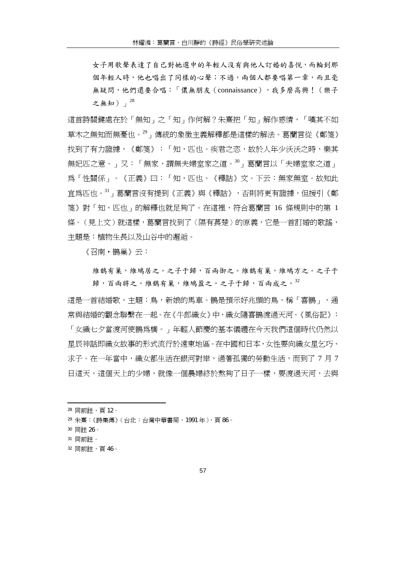女子用歌聲表達了自己對她選中的年輕人沒有與他人訂婚的喜悅,而輪到那 個年輕人時,他也唱出了同樣的心聲;不過,兩個人都要唱第一章,而且毫 無疑問,他們還要合唱:「儂無朋友(connaissance),我多麼高興!(樂子 之無知)」<sup>28</sup>

這首詩關鍵處在於「無知」之「知」作何解?朱熹把「知」解作感情,「嘆其不如 草木之無知而無憂也。<sup>29</sup>」傳統的象徵主義解釋都是這樣的解法。葛蘭言從《鄭箋》 找到了有力證據,《鄭箋》:「知,匹也。疾君之恣,故於人年少沃沃之時,樂其 無妃匹之意。」又:「無家,謂無夫婦室家之道。<sup>30</sup>」葛蘭言以「夫婦室家之道」 為「性關係」。《正義》曰:「知,匹也。《釋詁》文。下云:無家無室。故知此 宜為匹也。<sup>31</sup>」葛蘭言沒有提到《正義》與《釋詁》,否則將更有證據,但援引《鄭 箋》對「知,匹也」的解釋也就足夠了。在這裡,符合葛蘭言 16 條規則中的第 1 條。(見上文)就這樣,葛蘭言找到了〈隰有萇楚〉的原義,它是一首訂婚的歌謠, 主題是:植物生長以及山谷中的邂逅。

《召南‧鵲巢》云:

維鵲有巢,維鳩居之。之子于歸,百兩御之。維鵲有巢,維鳩方之。之子于 歸,百兩將之。維鵲有巢,維鳩盈之。之子于歸,百兩成之。32

這是一首結婚歌,主題:鳥,新娘的馬車。鵲是預示好兆頭的鳥,稱「喜鵲」,通 常與結婚的觀念聯繫在一起。在《牛郎織女》中,織女隨喜鵲渡過天河。《風俗記》: 「女織七夕當渡河使鵲爲橋。」年輕人節慶的基本儀禮在今天我們這個時代仍然以 星辰神話即織女故事的形式流行於遠東地區。在中國和日本,女性要向織女星乞巧、

求子。在一年當中,織女都生活在銀河對岸,渦著孤獨的勞動生活,而到了 7 月 7 日這天,這個天上的少婦,就像一個農婦終於熬夠了日子一樣,要渡過天河,去與

<sup>28</sup> 同前註,頁 12。

<sup>29</sup> 朱熹:《詩集傳》(台北:台灣中華書局,1991 年),頁 86。

<sup>30</sup> 同註 26。

<sup>31</sup> 同前註。

<sup>32</sup> 同前註,頁 46。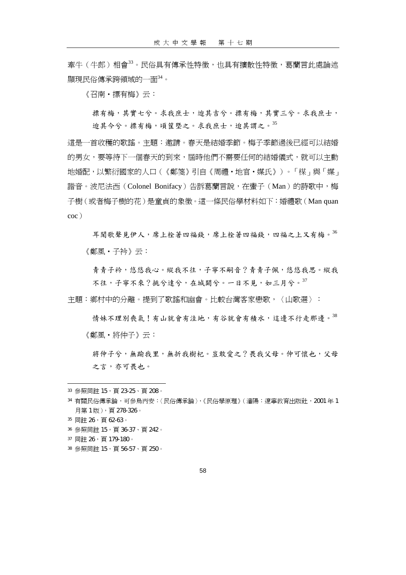牽牛(牛郎)相會33。民俗具有傳承性特徵,也具有擴散性特徵,葛蘭言此處論述 顯現民俗傳承跨領域的一面<sup>34</sup>。

《召南‧摽有梅》云:

摽有梅,其實七兮。求我庶士,迨其吉兮。摽有梅,其實三兮。求我庶士, 迨其今兮。摽有梅,頃筐塈之。求我庶士,迨其謂之。<sup>35</sup>

這是一首收穫的歌謠。主題:邀請。春天是結婚季節。梅子季節過後已經可以結婚 的男女,要等待下一個春天的到來,屆時他們不需要任何的結婚儀式,就可以主動 地婚配,以繁衍國家的人口(《鄭箋》引自《周禮‧地官‧媒氏》)。「楳」與「媒」 諧音。波尼法西(Colonel Bonifacy)告訴葛蘭言說,在蠻子(Man)的詩歌中,梅 子樹(或者梅子樹的花)是童貞的象徵。這一條民俗學材料如下:婚禮歌(Man quan coc)

耳聞歌聲見伊人,席上栓著四福錢,席上栓著四福錢,四福之上又有梅。<sup>36</sup> 《鄭風‧子衿》云:

青青子衿,悠悠我心。縱我不往,子寧不嗣音?青青子佩,悠悠我思。縱我 不往,子寧不來?挑兮達兮,在城闕兮。一日不見,如三月兮。37

主題:鄉村中的分離。提到了歌謠和幽會。比較台灣客家戀歌,〈山歌選〉:

情妹不理別喪氣!有山就會有洼地,有谷就會有積水,這邊不行走那邊。38 《鄭風‧將仲子》云:

將仲子兮,無踰我里,無折我樹杞。豈敢愛之?畏我父母。仲可懷也,父母 之言,亦可畏也。

 $\overline{a}$ 

38 參照同註 15,百 56-57、百 250。

<sup>33</sup> 參照同註 15,頁 23-25、頁 208。

<sup>34</sup> 有關民俗傳承論,可參烏丙安:〈民俗傳承論〉,《民俗學原理》(瀋陽:遼率教育出版社, 2001年1 月第 1 版),頁 278-326。

<sup>35</sup> 同註 26,頁 62-63。

<sup>36</sup> 參照同註 15,頁 36-37、頁 242。

<sup>37</sup> 同註 26, 百 179-180。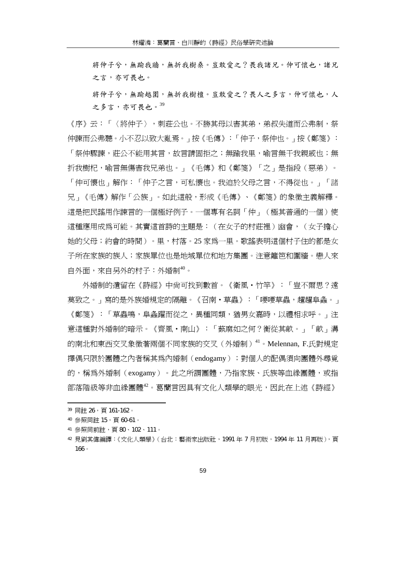將仲子兮,無踰我牆,無折我樹桑。豈敢愛之?畏我諸兄。仲可懷也,諸兄 之言,亦可畏也。

將仲子兮,無踰越圍,無折我樹檀。豈敢愛之?畏人之多言,仲可懷也,人 之多言,亦可畏也。39

《序》云:「〈將仲子〉,刺莊公也。不勝其母以害其弟,弟叔失道而公弗制,祭 仲諫而公弗聽。小不忍以致大亂焉。」按《毛傳》:「仲子,祭仲也。」按《鄭箋》: 「祭仲驟諫,莊公不能用其言,故言請固拒之;無踰我里,喻言無干我親戚也;無 折我樹杞,喻言無傷害我兄弟也。」《毛傳》和《鄭箋》「之」是指段(惡弟)。 「仲可懷也」解作:「仲子之言,可私懷也。我迫於父母之言,不得從也。」「諸 兄」《毛傳》解作「公族」。如此這般,形成《毛傳》、《鄭箋》的象徵主義解釋。 這是把民謠用作諫言的一個極好例子。一個專有名詞「仲」(極其普通的一個)使 這種應用成為可能。其實這首詩的主題是:(在女子的村莊裡)幽會,(女子擔心 她的父母;約會的時間)。里,村落。25 家為一里。歌謠表明這個村子住的都是女 子所在家族的族人;家族單位也是地域單位和地方集團。注意籬笆和圍牆。戀人來 自外面,來自另外的村子:外婚制<sup>40</sup>。

外婚制的遺留在《詩經》中尚可找到數首。《衛風‧竹竿》:「豈不爾思?遠 莫致之。」寫的是外族婚規定的隔離。《召南‧草蟲》:「喓喓草蟲,趯趯阜螽。」 《鄭箋》:「草蟲鳴,阜螽躍而從之,異種同類,猶男女嘉時,以禮相求呼。」注 意這種對外婚制的暗示。《齊風‧南山》:「蓺麻如之何?衡從其畝。」「畝」溝 的南北和東西交叉象徵著兩個不同家族的交叉(外婚制)<sup>41</sup>。Melennan, F.氏對規定 擇偶只限於團體之內者稱其為內婚制(endogamy);對個人的配偶須向團體外尋覓 的,稱為外婚制(exogamy)。此之所謂團體,乃指家族、氏族等血緣團體,或指 部落階級等非血緣團體<sup>42</sup>。葛蘭言因具有文化人類學的眼光,因此在上述《詩經》

<sup>39</sup> 同註 26,頁 161-162。

<sup>40</sup> 參照同註 15,頁 60-61。

<sup>41</sup> 參照同前註,頁 80、102、111。

<sup>42</sup> 見劉其偉編譯:《文化人類學》(台北:藝術家出版社,1991年7月初版,1994年11月再版),百 166。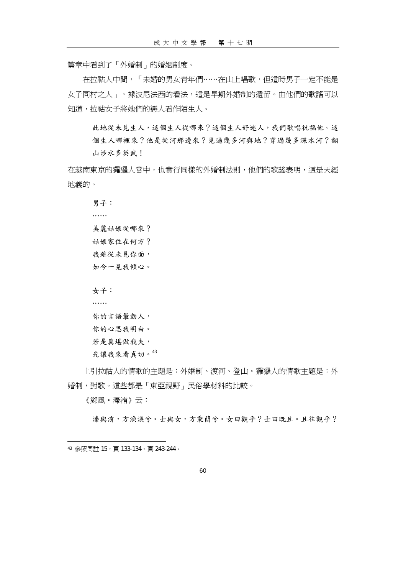篇章中看到了「外婚制」的婚姻制度。

在拉祜人中間,「未婚的男女青年們……在山上唱歌,但這時男子一定不能是 女子同村之人」。據波尼法西的看法,這是早期外婚制的遺留。由他們的歌謠可以 知道,拉祜女子將她們的戀人看作陌生人。

此地從未見生人,這個生人從哪來?這個生人好迷人,我們歌唱祝福他。這 個生人哪裡來?他是從河那邊來?見過幾多河與地?穿過幾多深水河?翻 山涉水多英武!

在越南東京的玀玀人當中,也實行同樣的外婚制法則,他們的歌謠表明,這是天經 地義的。

男子:

……

美麗姑娘從哪來?

姑娘家住在何方?

我雖從未見你面,

如今一見我傾心。

女子:

……

你的言語最動人, 你的心思我明白。 若是真堪做我夫,

先讓我來看真切。43

上引拉祜人的情歌的主題是:外婚制、渡河、登山。玀玀人的情歌主題是:外 婚制,對歌。這些都是「東亞視野」民俗學材料的比較。

《鄭風‧溱洧》云:

 $\overline{a}$ 

溱與洧,方渙渙兮。士與女,方秉蕳兮。女曰觀乎?士曰既且。且往觀乎?

43 參照同註 15,頁 133-134、頁 243-244。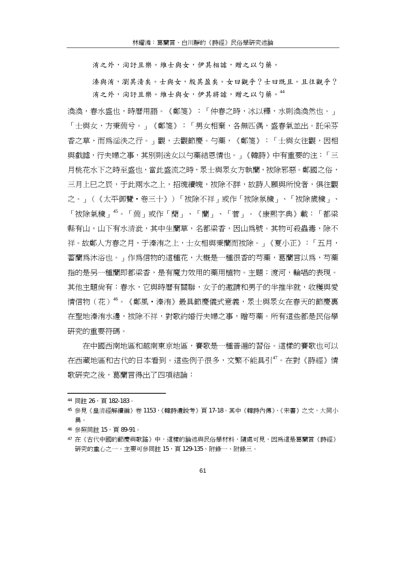洧之外,洵訏且樂。維士與女,伊其相謔,贈之以勺藥。

溱與洧,瀏其清矣。士與女,殷其盈矣。女曰觀乎?士曰既且。且往觀乎? 洧之外,洵訏且樂。維士與女,伊其將謔,贈之以勺藥。<sup>44</sup>

渙渙,春水盛也,時曆用語。《鄭箋》:「仲春之時,冰以釋,水則渙渙然也。」 「士與女,方秉蕳兮。」《鄭箋》:「男女相棄,各無匹偶,盛春氣並出。託采芬 香之草,而為淫泆之行。」觀,去觀節慶。勺藥,《鄭箋》:「士與女往觀,因相 與戲謔,行夫婦之事,其別則送女以勺藥結恩情也。」《韓詩》中有重要的注:「三 月桃花水下之時至盛也,當此盛流之時,眾士與眾女方執蘭,袚除邪惡。鄭國之俗, 三月上巳之辰,于此兩水之上,招魂續魄,袚除不詳,故詩人願與所悅者,俱往觀 之。」(《太平御覽‧卷三十》)「袚除不祥」或作「袚除氛穢」、「袚除歲穢」、 「袚除氣穢」<sup>45</sup>。「蕳」或作「蕑」、「蘭」、「菅」。《康熙字典》載:「都梁 縣有山,山下有水清泚,其中生蘭草,名都梁香,因山為號。其物可殺蟲毒,除不 祥。故鄭人方春之月,于溱洧之上,士女相與秉蘭而袚除。」《夏小正》:「五月, 蓄蘭為沐浴也。」作為信物的這種花,大概是一種很香的芍藥,葛蘭言以為,芍藥 指的是另一種蘭即都梁香,是有魔力效用的藥用植物。主題:渡河,輪唱的表現。 其他主題尚有:春水,它與時曆有關聯,女子的邀請和男子的半推半就,收穫與愛 情信物(花)"<sup>6</sup>。《鄭風·溱洧》最具節慶儀式意義,眾士與眾女在春天的節慶裏 在聖地溱洧水邊,袚除不祥,對歌約婚行夫婦之事,贈芍藥。所有這些都是民俗學 研究的重要符碼。

在中國西南地區和越南東京地區,賽歌是一種普遍的習俗。這樣的賽歌也可以 在西藏地區和古代的日本看到。這些例子很多,文繁不能具引<sup>47</sup>。在對《詩經》情 歌研究之後,葛蘭言得出了四項結論:

<sup>44</sup> 同註 26, 百 182-183。

<sup>45</sup> 參見《皇清經解續編》卷 1153,《韓詩遺說考》頁 17-18。其中《韓詩內傳》、《宋書》之文,大同小 異。

<sup>46</sup> 參照同註 15,頁 89-91。

<sup>47</sup> 在《古代中國的節慶與歌謠》中,這樣的論述與民俗學材料,隨處可見,因為這是葛蘭言《詩經》 研究的重心之一。主要可參同註 15,頁 129-135、附錄一、附錄三。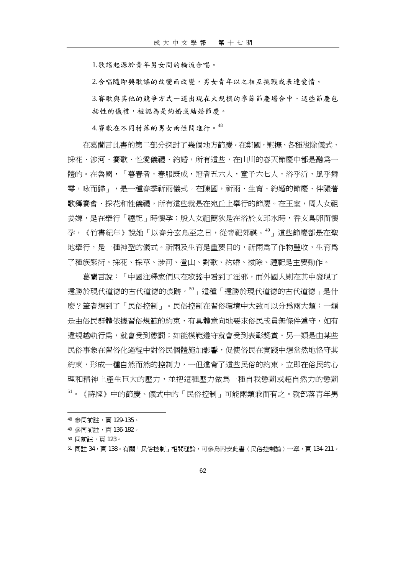1.歌謠起源於青年男女間的輪流合唱。

2.合唱隨即興歌謠的改變而改變,男女青年以之相互挑戰或表達愛情。

3.賽歌與其他的競爭方式一道出現在大規模的季節節慶場合中。這些節慶包 括性的儀禮,被認為是約婚或結婚節慶。

4.賽歌在不同村落的男女兩性間進行。<sup>48</sup>

在葛蘭言此書的第二部分探討了幾個地方節慶。在鄭國,慰撫、各種袚除儀式、 採花、涉河、賽歌、性愛儀禮、約婚,所有這些,在山川的春天節慶中都是融為一 體的。在魯國,「暮春者,春服既成,冠者五六人,童子六七人,浴乎沂,風乎舞 雩,咏而歸」,是一種春季祈雨儀式。在陳國,祈雨、生育、約婚的節慶、伴隨著 歌舞賽會、採花和性儀禮,所有這些就是在宛丘上舉行的節慶。在王室,周人女祖 姜嫄,是在舉行「禋祀」時懷孕;殷人女祖簡狄是在浴於玄邱水時,吞玄鳥卵而懷 孕,《竹書紀年》說她「以春分玄鳥至之日,從帝祀郊禖。<sup>49</sup>」這些節慶都是在聖 地舉行,是一種神聖的儀式。祈雨及生育是重要目的,祈雨為了作物豐收,生育為 了種族繁衍。採花、採草、涉河、登山、對歌、約婚、袚除、禋祀是主要動作。

葛蘭言說:「中國注釋家們只在歌謠中看到了淫邪,而外國人則在其中發現了 遠勝於現代道德的古代道德的痕跡。<sup>50</sup>」這種「遠勝於現代道德的古代道德」是什 麼?筆者想到了「民俗控制」。民俗控制在習俗環境中大致可以分為兩大類:一類 是由俗民群體依據習俗規範的約束,有具體意向地要求俗民成員無條件遵守,如有 違規越軌行為,就會受到懲罰;如能模範遵守就會受到表彰獎賞。另一類是由某些 民俗事象在習俗化過程中對俗民個體施加影響,促使俗民在實踐中想當然地恪守其 約束,形成一種自然而然的控制力,一但違背了這些民俗的約束,立即在俗民的心 理和精神上產生巨大的壓力,並把這種壓力做為一種自我懲罰或超自然力的懲罰 <sup>51</sup>。《詩經》中的節慶、儀式中的「民俗控制」可能兩類兼而有之。就部落青年男

<sup>50</sup> 同前註,頁 123。

<sup>48</sup> 參同前註,頁 129-135。

<sup>49</sup> 參同前註,頁 136-182。

<sup>51</sup> 同註 34,頁 138。有關「民俗控制」相關理論,可參烏丙安此書〈民俗控制論〉一章,頁 134-211。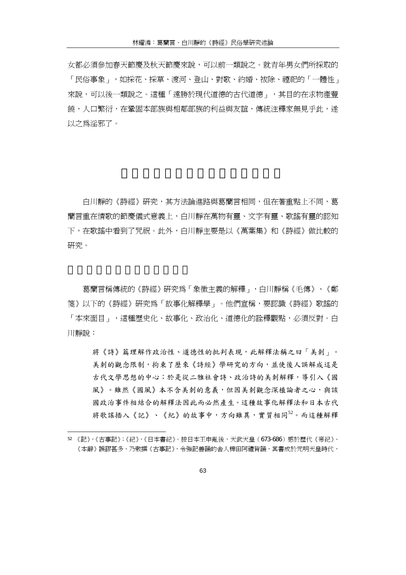女都必須參加春天節慶及秋天節慶來說,可以前一類說之。就青年男女們所採取的 「民俗事象」,如採花、採草、渡河、登山、對歌、約婚、袚除、禋祀的「一體性」 來說,可以後一類說之。這種「遠勝於現代道德的古代道德」,其目的在求物產豐 饒,人口繁衍,在鞏固本部族與相鄰部族的利益與友誼,傳統注釋家無見平此,遂 以之為淫邪了。

白川靜的《詩經》研究,其方法論進路與葛蘭言相同,但在著重點上不同,葛 蘭言重在情歌的節慶儀式意義上,白川靜在萬物有靈、文字有靈、歌謠有靈的認知 下,在歌謠中看到了咒祝。此外,白川靜主要是以《萬葉集》和《詩經》做比較的 研究。

葛蘭言稱傳統的《詩經》研究為「象徵主義的解釋」,白川靜稱《毛傳》、《鄭 箋》以下的《詩經》研究為「故事化解釋學」。他們宣稱,要認識《詩經》歌謠的 「本來面目」,這種歷史化、故事化、政治化、道德化的詮釋觀點,必須反對。白 川靜說:

將《詩》篇理解作政治性、道德性的批判表現,此解釋法稱之曰「美刺」。 美刺的觀念限制,拘束了歷來《詩經》學研究的方向,並使後人誤解成這是 古代文學思想的中心;於是從二雅社會詩、政治詩的美刺解釋,導引入《國 風》。雖然《國風》本不含美刺的意義,但因美刺觀念深植論者之心,與該 國政治事件相結合的解釋法因此而必然產生。這種故事化解釋法和日本古代 將歌謠插入《記》、《紀》的故事中,方向雖異,實質相同<sup>52</sup>。而這種解釋

<sup>52</sup> 《記》,《古事記》;《紀》,《日本書紀》。按日本王申亂後,天武天皇(673-686)感於歷代《帝紀》、 《本辭》誤謬甚多,乃敕撰《古事記》,令強記善誦的舍人稗田阿禮背誦,其書成於元明天皇時代,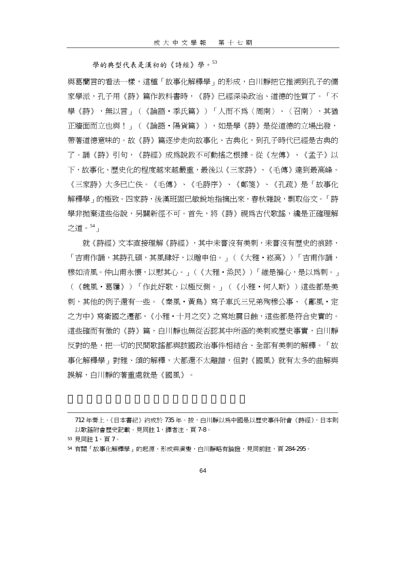學的典型代表是漢初的《詩經》學。<sup>53</sup>

與葛蘭言的看法一樣,這種「故事化解釋學」的形成,白川靜把它推溯到孔子的儒 家學派,孔子用《詩》篇作教科書時,《詩》已經深染政治、道德的性質了。「不 學《詩》,無以言」(《論語‧季氏篇》)「人而不為〈周南〉、〈召南〉,其猶 正牆面而立也與!」(《論語·陽貨篇》),如是學《詩》是從道德的立場出發, 帶著道德意味的。故《詩》篇逐步走向故事化、古典化,到孔子時代已經是古典的 了。誦《詩》引句,《詩經》成為說教不可動搖之根據。從《左傳》、《孟子》以 下,故事化、歷史化的程度越來越嚴重,最後以《三家詩》、《毛傳》達到最高峰。 《三家詩》大多已亡佚。《毛傳》、《毛詩序》、《鄭箋》、《孔疏》是「故事化 解釋學」的極致。四家詩,後漢班固已敏銳地指摘出來,春秋雜說,剽取俗文。「詩 學非拋棄這些俗說,另闢新徑不可。首先,將《詩》視為古代歌謠,纔是正確理解 之道。<sup>54</sup> 」

就《詩經》文本直接理解《詩經》,其中未嘗沒有美刺,未嘗沒有歷史的痕跡, 「吉甫作誦,其詩孔碩,其風肆好,以贈申伯。」(《大雅‧崧高》)「吉甫作誦, 穆如清風。仲山甫永懷,以慰其心。」(《大雅•烝民》)「維是褊心,是以爲刺。」 (《魏風‧葛屨》)「作此好歌,以極反側。」(《小雅‧何人斯》)這些都是美 刺,其他的例子還有一些。《秦風‧黃鳥》寫子車氏三兄弟殉穆公事、《鄘風‧定 之方中》寫衛國之遷都、《小雅·十月之交》之寫地震日蝕,這些都是符合史實的。 這些確而有徵的《詩》篇,白川靜也無從否認其中所涵的美刺或歷史事實,白川靜 反對的是,把一切的民間歌謠都與該國政治事件相結合、全部有美刺的解釋。「故 事化解釋學﹐對雅、頌的解釋,大都還不太離譜,但對《國風》就有太多的曲解與 誤解,白川靜的著重處就是《國風》。

712 年奏上。《日本書紀》約成於 735 年。按,白川靜以為中國是以歷史事件附會《詩經》,日本則 以歌謠附會歷史記載。見同註1,譯者注,頁7-8。

<sup>53</sup> 見同註 1,頁 7。

 $\overline{a}$ 

<sup>54</sup> 有關「故事化解釋學」的起源、形成與演變,白川靜略有論證,見同前註,頁 284-295。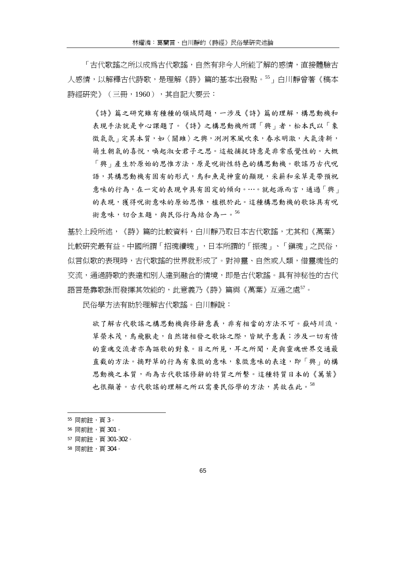「古代歌謠之所以成爲古代歌謠,自然有非今人所能了解的感情,直接體驗古 人感情,以解釋古代詩歌,是理解《詩》篇的基本出發點。55,白川靜曾著《稿本 詩經研究》(三冊,1960),其自記大要云:

《詩》篇之研究雖有種種的領域問題,一涉及《詩》篇的理解,構思動機和 表現手法就是中心課題了。《詩》之構思動機所謂「興」者,松本氏以「象 徵氣氛 在其本質,如〈關雎〉之興,冽冽寒風吹來,春水明澈,大氣清新, 萌生朝氣的喜悅,喚起淑女君子之思。這般捕捉詩意是非常感覺性的。大概 「興」產生於原始的思惟方法,原是呪術性特色的構思動機。歌謠乃古代呪 語,其構思動機有固有的形式,鳥和魚是神靈的顯現,采薪和采草是帶預祝 意味的行為,在一定的表現中具有固定的傾向。…。就起源而言,通過「興」 的表現,獲得呪術意味的原始思惟,植根於此。這種構思動機的歌詠具有呪 術意味,切合主題,與民俗行為結合為一。56

基於上段所述,《詩》篇的比較資料,白川靜乃取日本古代歌謠,尤其和《萬葉》 比較研究最有益。中國所謂「招魂續魄」,日本所謂的「振魂」、「鎮魂」之民俗, 似言似歌的表現時,古代歌謠的世界就形成了。對神靈、自然或人類,借靈魂性的 交流,通過詩歌的表達和別人達到融合的情境,即是古代歌謠。具有神秘性的古代 語言是靠歌詠而發揮其效能的,此意義乃《詩》篇與《萬葉》互通之處<sup>57</sup>。

民俗學方法有助於理解古代歌謠。白川靜說:

欲了解古代歌謠之構思動機與修辭意義,非有相當的方法不可。嶽峙川流, 草榮木茂,鳥飛獸走,自然諸相發之歌詠之際,皆賦予意義;涉及一切有情 的靈魂交流者亦為謳歌的對象。目之所見,耳之所聞,是與靈魂世界交通最 直截的方法。摘野草的行為有象徵的意味,象徵意味的表達,即「興」的構 思動機之本質,而為古代歌謠修辭的特質之所繫。這種特質日本的《萬葉》 也很顯著。古代歌謠的理解之所以需要民俗學的方法,其故在此。<sup>58</sup>

<sup>55</sup> 同前註,頁 3。

<sup>56</sup> 同前註,頁 301。

<sup>57</sup> 同前註,頁 301-302。

<sup>58</sup> 同前註,頁 304。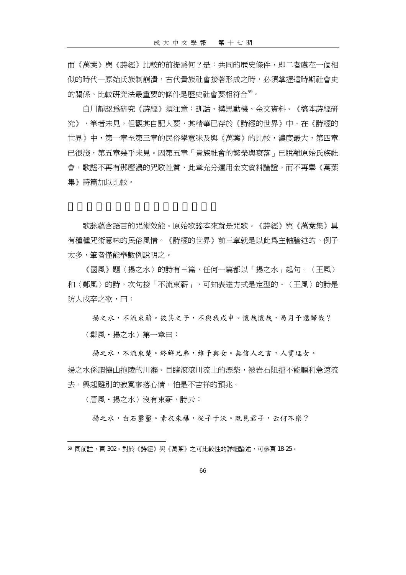而《萬葉》與《詩經》比較的前提為何?是:共同的歷史條件,即二者處在一個相 似的時代—原始氏族制崩潰,古代貴族社會接著形成之時,必須掌握這時期社會史 的關係。比較研究法最重要的條件是歷史社會要相符合<sup>59</sup>。

白川靜認為研究《詩經》須注意:訓詁、構思動機、金文資料。《稿本詩經研 究》,筆者未見,但觀其自記大要,其精華已存於《詩經的世界》中。在《詩經的 世界》中,第一章至第三章的民俗學意味及與《萬葉》的比較,濃度最大,第四章 已很淺,第五章幾乎未見。因第五章「貴族社會的繁榮與衰落」已脫離原始氏族社 會,歌謠不再有那麼濃的咒歌性質,此章充分運用金文資料論證,而不再舉《萬葉 集》詩篇加以比較。

歌詠蘊含語言的咒術效能。原始歌謠本來就是咒歌。《詩經》與《萬葉集》具 有種種咒術意味的民俗風情。《詩經的世界》前三章就是以此為主軸論述的。例子 太多,筆者僅能舉數例說明之。

《國風》題〈揚之水〉的詩有三篇,任何一篇都以「揚之水」起句。〈王風〉 和〈鄭風〉的詩,次句接「不流束薪」,可知表達方式是定型的。〈王風〉的詩是 防人戍卒之歌,曰:

揚之水,不流束薪。彼其之子,不與我戍申。懷哉懷哉,曷月予還歸哉? 〈鄭風‧揚之水〉第一章曰:

揚之水,不流束楚。終鮮兄弟,維予與女。無信人之言,人實迋女。 揚之水係謂懷山抱陵的川瀨。目睹滾滾川流上的漂柴,被岩石阻擋不能順利急速流 去,興起離別的寂寞寥落心情,怕是不吉祥的預兆。

〈唐風‧揚之水〉沒有束薪,詩云:

 $\overline{a}$ 

揚之水,白石鑿鑿。素衣朱襮,從子于沃。既見君子,云何不樂?

<sup>59</sup> 同前註,頁 302。對於《詩經》與《萬葉》之可比較性的詳細論述,可參頁 18-25。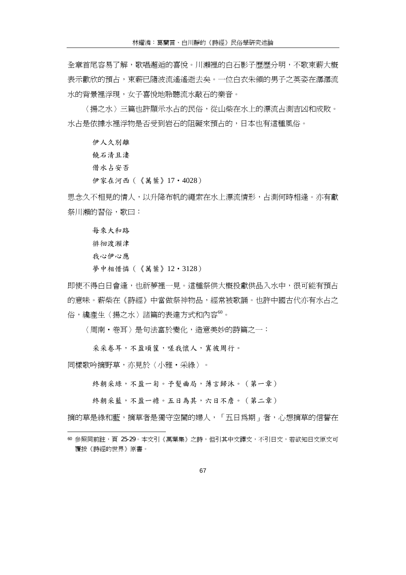全章首尾容易了解,歌唱邂逅的喜悅。川瀨裡的白石影子歷歷分明,不歌束薪大槪 表示歡欣的預占,束薪已隨波流遙遙逝去矣。一位白衣朱領的男子之英姿在潺潺流 水的背景裡浮現,女子喜悅地聆聽流水敲石的樂音。

〈揚之水〉三篇也許顯示水占的民俗,從山柴在水上的漂流占測吉凶和成敗。 水占是依據水裡浮物是否受到岩石的阻礙來預占的,日本也有這種風俗。

伊人久別離

饒石清且淒

借水占安否

伊家在河西(《萬葉》17‧4028)

思念久不相見的情人,以升降布帆的繩索在水上漂流情形,占測何時相逢。亦有獻 祭川瀨的習俗,歌曰:

每來大和路 徘徊渡瀨津 我心伊心應 夢中相惜憐(《萬葉》12·3128)

即使不得白日會逢,也祈夢裡一見。這種祭供大槪投獻供品入水中,很可能有預占 的意味。薪柴在《詩經》中當做祭神物品,經常被歌誦。也許中國古代亦有水占之 俗,纔產生〈揚之水〉諸篇的表達方式和內容<sup>60</sup>。

〈周南‧卷耳〉是句法富於變化,造意美妙的詩篇之一:

采采卷耳,不盈頃筐,嗟我懷人,寘彼周行。

同樣歌吟摘野草,亦見於〈小雅‧采綠〉。

 $\overline{a}$ 

終朝采綠,不盈一躬。予髮曲局,薄言歸沐。(第一章)

終朝采藍,不盈一襜。五日為其,六日不詹。(第二章)

摘的草是綠和藍,摘草者是獨守空閨的婦人,「五日為期」者,心想摘草的信誓在

<sup>60</sup> 參照同前註,百 25-29。本文引《萬葉集》之詩,但引其中文譯文,不引日文,若欲知日文原文可 覆按《詩經的世界》原書。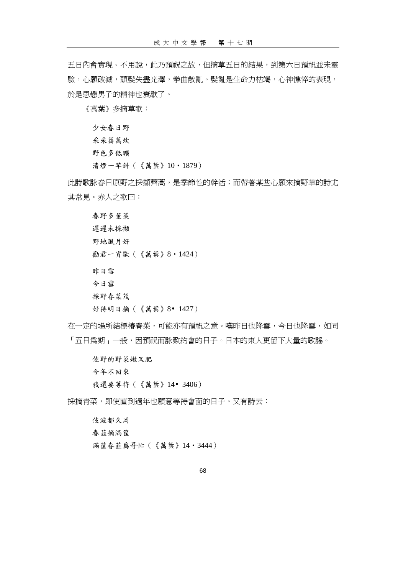五日內會實現。不用說,此乃預祝之故,但摘草五日的結果,到第六日預祝並未靈 驗,心願破滅,頭髮失盡光澤,拳曲散亂。髮亂是生命力枯竭,心神憔悴的表現, 於是思戀男子的精神也衰歇了。

《萬葉》多摘草歌:

少女春日野 采采薺蒿炊 野色多低曠 清煙一竿斜(《萬葉》10‧1879)

此詩歌詠春日原野之採擷薺蒿,是季節性的幹活;而帶著某些心願來摘野草的詩尤 其常見。赤人之歌曰:

春野多堇菜 遲遲未採擷 野地風月好 勸君一宵歇(《萬葉》8‧1424) 昨日雪 今日雪 採野春菜茂

```
好待明日摘(《萬葉》8 1427)
```
在一定的場所結標樁春菜,可能亦有預祝之意。嘆昨日也降雪,今日也降雪,如同 「五日爲期」一般,因預祝而詠歎約會的日子。日本的東人更留下大量的歌謠。

佐野的野菜嫩又肥 今年不回來 我還要等待(《萬葉》14 3406)

採摘青菜,即使直到過年也願意等待會面的日子。又有詩云:

伎波都久岡 春韮摘滿筐 滿筐春韮爲哥忙(《萬葉》14‧3444)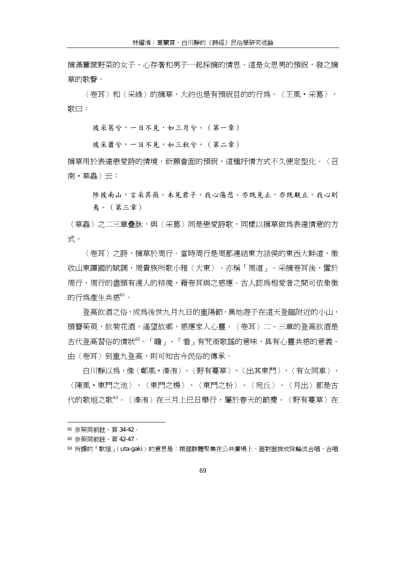摘滿簍筐野菜的女子,心存著和男子一起採摘的情思,這是女思男的預祝,發之摘 草的歌聲。

〈卷耳〉和〈采綠〉的摘草,大約也是有預祝目的的行為。〈王風‧采葛〉, 歌曰:

彼采葛兮,一日不見,如三月兮。(第一章)

彼采蕭兮,一日不見,如三秋兮。(第二章)

摘草用於表達戀愛詩的情境,祈願會面的預祝,這種抒情方式不久便定型化。〈召 南‧草蟲〉云:

陟彼南山,言采其薇。未見君子,我心傷悲。亦既見止,亦既覯止,我心則 夷。(第三章)

〈草蟲〉之二三章疊詠,與〈采葛〉同是戀愛詩歌,同樣以摘草做爲表達情意的方 式。

〈卷耳〉之詩,摘草於周行。當時周行是周都連結東方諸侯的東西大幹道,徵 收山東譚國的賦調,周貴族所歌小雅〈大東〉,亦稱「周道」。采摘卷耳後,置於 周行,周行的盡頭有遠人的精魂,藉卷耳與之感應。古人認爲相愛者之間可依象徵 的行為產生共感<sup>61</sup>。

登高飲酒之俗,成為後世九月九日的重陽節,異地遊子在這天登臨附近的小山, 頭簪茱萸,飲菊花洒,遙望故鄉,感應家人心靈。〈卷耳〉二、三章的登高飲酒是 古代登高習俗的情狀<sup>62</sup>。「瞻」、「看」有咒術歌謠的意味,具有心靈共感的意義。 由〈卷耳〉到重九登高,則可知古今民俗的傳承。

白川靜以為,像〈鄭風‧溱洧〉、〈野有蔓草〉、〈出其東門〉、〈有女同車〉、 〈陳風・東門之池〉、〈東門之楊〉、〈東門之枌〉、〈宛丘〉、〈月出〉都是古 代的歌垣之歌<sup>63</sup>。〈溱洧〉在三月上巳日舉行,屬於春天的節慶。〈野有蔓草〉在

<sup>61</sup> 參照同前註,頁 34-42。

<sup>62</sup> 參照同前註,頁 42-47。

<sup>63</sup> 所謂的「歌垣」(uta-gaki)的意思是:兩個群體聚集在公共廣場上,面對面排成隊輪流合唱,合唱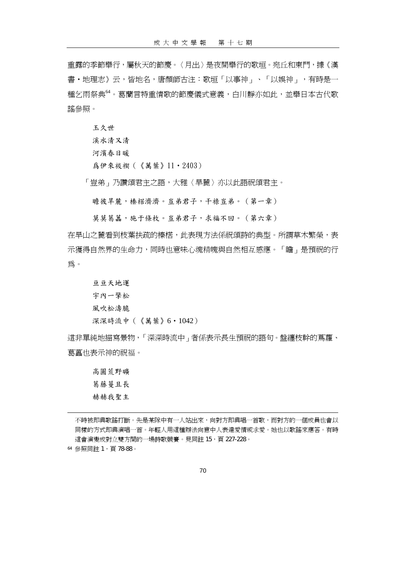重露的季節舉行,屬秋天的節慶。〈月出〉是夜間舉行的歌垣。宛丘和東門,據《漢 書‧地理志》云,皆地名,唐顏師古注:歌垣「以事神」、「以娛神」,有時是一 種乞雨祭典<sup>64</sup>。葛蘭言特重情歌的節慶儀式意義,白川靜亦如此,並舉日本古代歌 謠參照。

玉久世

溪水清又清

河濱春日暖

爲伊來祓禊(《萬葉》11‧2403)

「豈弟」乃讚頌君主之語,大雅〈旱麓〉亦以此語祝頌君主。

瞻彼旱麓,榛楛濟濟。豈弟君子,干祿豈弟。(第一章)

莫莫葛藟,施于條枚。豈弟君子,求福不回。(第六章)

在旱山之麓看到枝葉扶疏的榛楛,此表現方法係祝頌詩的典型。所謂草木繁榮,表 示獲得自然界的生命力,同時也意味心魂精魄與自然相互感應。「瞻」是預祝的行 為。

亘亘天地運 宇內一擎松 風吹松濤脆 深深時流中(《萬葉》6‧1042)

這非單純地描寫景物,「深深時流中」者係表示長生預祝的語句。盤纏枝幹的蔦蘿、 葛藟也表示神的祝福。

高圓荒野曠 葛藤蔓且長 赫赫我聖主

不時被即興歌謠打斷。先是某隊中有一人站出來,向對方即興唱一首歌,而對方的一個成員也會以 同樣的方式即興演唱一首。年輕人用這種辦法向意中人表達愛情或求愛。她也以歌謠來應答。有時 這會演變成對立雙方間的一場詩歌競賽。見同註 15,百 227-228。

<sup>64</sup> 參照同註 1,頁 78-88。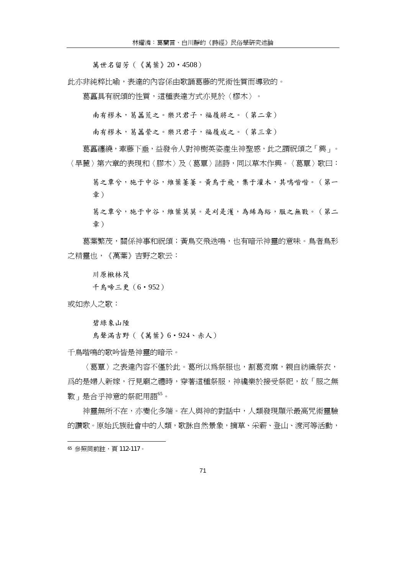萬世名留芳(《萬葉》20‧4508)

此亦非純粹比喻,表達的內容係由歌誦葛藤的咒術性質而導致的。

葛藟具有祝頌的性質,這種表達方式亦見於〈樛木〉。

南有樛木,葛藟荒之。樂只君子,福履將之。(第二章)

南有樛木,葛藟縈之。樂只君子,福履成之。(第三章)

葛藟纏繞,牽藤下垂,益發令人對神樹英姿產生神聖感,此之謂祝頌之「興」。 〈旱麓〉第六章的表現和〈膠木〉及〈葛覃〉諸詩,同以草木作興。〈葛覃〉歌曰:

葛之覃兮,施于中谷,維葉萋萋。黃鳥于飛,集于灌木,其鳴喈喈。(第一 章)

葛之覃兮,施于中谷,維葉莫莫。是刈是濩,為絺為綌,服之無斁。(第二 章)

葛葉繁茂,關係神事和祝頌;黃鳥交飛迭鳴,也有暗示神靈的意味。鳥者鳥形 之精靈也,《萬葉》吉野之歌云:

川原楸林茂

千鳥啼三更(6‧952)

或如赤人之歌:

碧綠象山陲

鳥聲滿吉野(《萬葉》6‧924、赤人)

千鳥喈鳴的歌吟皆是神靈的暗示。

〈葛覃〉之表達內容不僅於此。葛所以為祭服也,割葛煑麻,親自紡織祭衣, 爲的是婦人新嫁,行見廟之禮時,穿著這種祭服,神纔樂於接受祭祀,故「服之無 斁」是合乎神意的祭祀用語<sup>65</sup>。

神靈無所不在,亦變化多端。在人與神的對話中,人類發現顯示最高咒術靈驗 的讚歌。原始氏族社會中的人類,歌詠自然景象,摘草、采薪、登山、渡河等活動,

<sup>65</sup> 參照同前註,頁 112-117。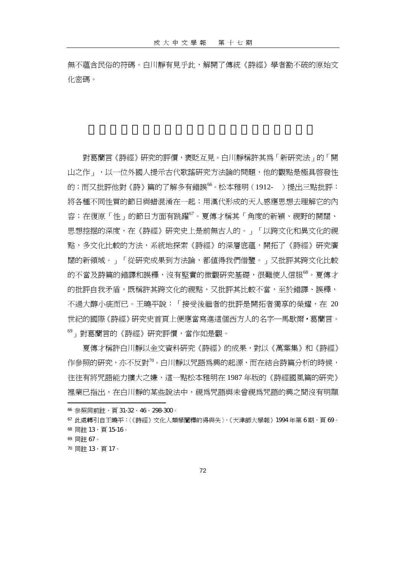無不蘊含民俗的符碼。白川靜有見乎此,解開了傳統《詩經》學者勘不破的原始文 化密碼。

對葛蘭言《詩經》研究的評價,褒貶互見。白川靜稱許其為「新研究法」的「開 山之作」,以一位外國人提示古代歌謠研究方法論的問題,他的觀點是極具啟發性 的;而又批評他對《詩》篇的了解多有錯誤<sup>66</sup>。松本雅明(1912- )提出三點批評: 將各種不同性質的節日與蜡混淆在一起;用漢代形成的天人感應思想去理解它的內 容;在復原「性」的節日方面有跳躍<sup>67</sup>。夏傳才稱其「角度的新穎、視野的開闊、 思想挖掘的深度,在《詩經》研究史上是前無古人的。」「以跨文化和異文化的視 點,多文化比較的方法,系統地探索《詩經》的深層底蘊,開拓了《詩經》研究廣 闊的新領域。」「從研究成果到方法論,都值得我們借鑒。」又批評其跨文化比較 的不當及詩篇的錯譯和誤釋,沒有堅實的微觀研究基礎,很難使人信服<sup>68</sup>。夏傳才 的批評自我矛盾,既稱許其跨文化的視點,又批評其比較不當,至於錯譯、誤釋, 不過大醇小疵而已。王曉平說:「接受後繼者的批評是開拓者獨享的榮耀,在 20 世紀的國際《詩經》研究史首頁上便應當寫進這個西方人的名字─馬歇爾‧葛蘭言。 <sup>69</sup>」對葛蘭言的《詩經》研究評價,當作如是觀。

夏傳才稱許白川靜以金文資料研究《詩經》的成果,對以《萬葉集》和《詩經》 作參照的研究,亦不反對"0。白川靜以咒語爲興的起源,而在結合詩篇分析的時候, 往往有將咒語能力擴大之嫌,這一點松本雅明在 1987 年版的《詩經國風篇的研究》 裡業已指出,在白川靜的某些說法中,視為咒語與未曾視為咒語的興之間沒有明顯

- <sup>67</sup> 此處轉引自王曉平:〈《詩經》文化人類學闡釋的得與失〉,《天津師大學報》1994 年第 6 期,頁 69。
- 68 同註 13, 頁 15-16。
- <sup>69</sup> 同註 67。

 $\overline{a}$ 

<sup>70</sup> 同註 13,頁 17。

<sup>66</sup> 參照同前註,司 31-32、46、298-300。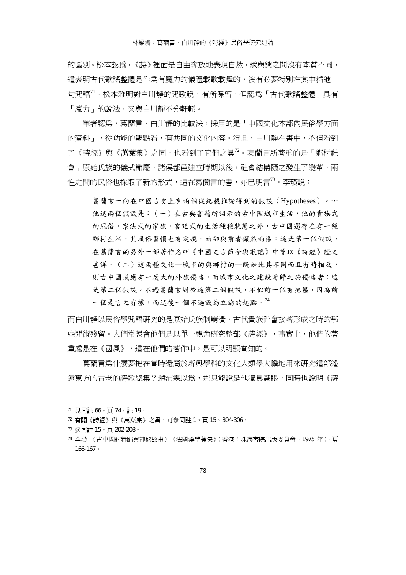的區別。松本認爲,《詩》裡面是自由奔放地表現自然,賦與興之間沒有本質不同, 這表明古代歌謠整體是作為有魔力的儀禮載歌載舞的,沒有必要特別在其中插進一 句咒語<sup>71</sup>。松本雅明對白川靜的咒歌說,有所保留,但認爲「古代歌謠整體」具有 「魔力」的說法,又與白川靜不分軒輊。

筆者認爲,葛蘭言、白川靜的比較法,採用的是「中國文化本部內民俗學方面 的資料」,從功能的觀點看,有共同的文化內容。況且,白川靜在書中,不但看到 了《詩經》與《萬葉集》之同,也看到了它們之異<sup>72</sup>。葛蘭言所著重的是「鄕村社」 會」原始氏族的儀式節慶,諸侯都邑建立時期以後,社會結構隨之發生了變革,兩 性之間的民俗也採取了新的形式,這在葛蘭言的書,亦已明言<sup>73</sup>。李璜說:

葛蘭言一向在中國古史上有兩個從紀載推論得到的假設(Hypotheses)。⋯ 他這兩個假設是:(一)在古典書籍所詔示的古中國城市生活,他的貴族式 的風俗,宗法式的家族,宮廷式的生活種種狀態之外,古中國還存在有一種 鄉村生活,其風俗習慣也有定規,而卻與前者儼然兩樣:這是第一個假設, 在葛蘭言的另外一部著作名叫《中國之古節令與歌謠》中曾以《詩經》證之 甚詳。(二)這兩種文化─城市的與鄉村的─既如此其不同而且有時相反, 則古中國或應有一度大的外族侵略,而城市文化之建設當歸之於侵略者:這 是第二個假設。不個有把握。因為前 一個是言之有據,而這後一個不過設為立論的起點。<sup>74</sup>

而白川靜以民俗學咒語研究的是原始氏族制崩潰,古代貴族社會接著形成之時的那 些咒術殘留。人們常誤會他們是以單一視角研究整部《詩經》,事實上,他們的著 重處是在《國風》,這在他們的著作中,是可以明顯查知的。

葛蘭言為什麼要把在當時還屬於新興學科的文化人類學大膽地用來研究這部遙 遠東方的古老的詩歌總集?趙沛霖以為,那只能說是他獨具慧眼,同時也說明《詩

<sup>71</sup> 見同註 66,頁 74,註 19。

<sup>72</sup> 有關《詩經》與《萬葉集》之異,可參同註 1,頁 15、304-306。

<sup>73</sup> 參同註 15,頁 202-208。

<sup>74</sup> 李璜:〈古中國的舞蹈與神秘故事〉,《法國漢學論集》(香港:珠海書院出版委員會,1975 年),頁 166-167。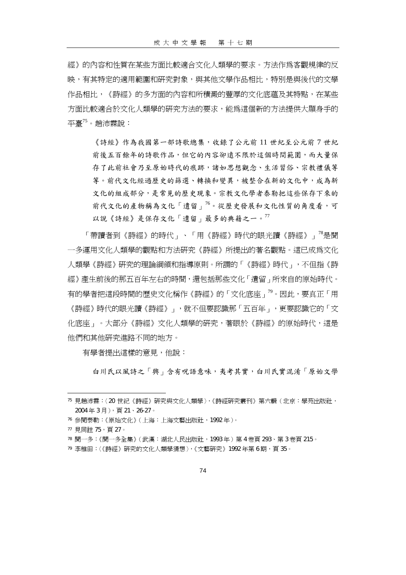經》的內容和性質在某些方面比較適合文化人類學的要求。方法作為客觀規律的反 映,有其特定的適用範圍和研究對象,與其他文學作品相比,特別是與後代的文學 作品相比,《詩經》的多方面的內容和所積澱的豐厚的文化底蘊及其特點,在某些 方面比較適合於文化人類學的研究方法的要求,能為這個新的方法提供大顯身手的 平臺<sup>75</sup>。趙沛霖說:

《詩經》作為我國第一部詩歌總集,收錄了公元前 11 世紀至公元前 7 世紀 前後五百餘年的詩歌作品,但它的內容卻遠不限於這個時間範圍,而大量保 存了此前社會乃至原始時代的痕跡,諸如思想觀念、生活習俗、宗教禮儀等 等。前代文化經過歷史的篩選、轉換和變異,被整合在新的文化中,成為新 文化的組成部分,是常見的歷史現象。宗教文化學者泰勒把這些保存下來的 前代文化的產物稱為文化「遺留」<sup>76</sup>。從歷史發展和文化性質的角度看,可 以說《詩經》是保存文化「遺留」最多的典籍之一。<sup>77</sup>

「帶讀者到《詩經》的時代」、「用《詩經》時代的眼光讀《詩經》」<sup>78</sup>是聞 一多運用文化人類學的觀點和方法研究《詩經》所提出的著名觀點。這已成為文化 人類學《詩經》研究的理論綱領和指導原則。所謂的「《詩經》時代」,不但指《詩 經》產生前後的那五百年左右的時間,還包括那些文化「遺留」所來自的原始時代。 有的學者把這段時間的歷史文化稱作《詩經》的「文化底座」<sup>79</sup>。因此,要真正「用 《詩經》時代的眼光讀《詩經》」,就不但要認識那「五百年」,更要認識它的「文 化底座 」。大部分《詩經》文化人類學的研究,著眼於《詩經》的原始時代,這是 他們和其他研究進路不同的地方。

有學者提出這樣的意見,他說:

白川氏以風詩之「興」含有呪語意味,夷考其實,白川氏實混淆「原始文學

<sup>75</sup> 見趙沛霖:〈20 世紀《詩經》研究與文化人類學〉,《詩經研究叢刊》第六輯(北京:學苑出版社, 2004 年 3 月),頁 21、26-27。

<sup>76</sup> 參閱泰勒:《原始文化》(上海:上海文藝出版社,1992 年)。

<sup>77</sup> 見同註 75,頁 27。

<sup>78</sup> 聞一多:《聞一多全集》(武漢:湖北人民出版社,1993 年)第 4 卷頁 293、第 3 卷頁 215。

<sup>79</sup> 李稚田:〈《詩經》研究的文化人類學猜想〉,《文藝研究》1992年第6期,頁35。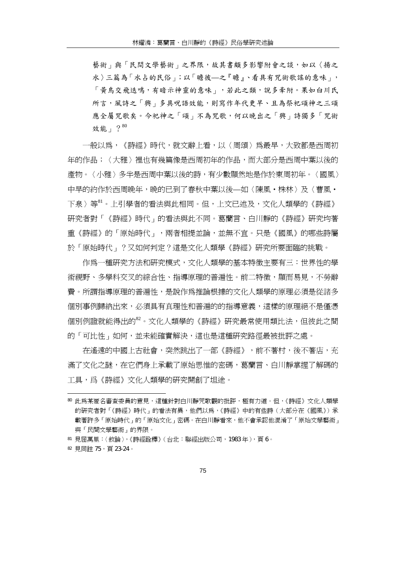藝術 | 與「民間文學藝術 | 之界限,故其書頗多影響附會之談,如以〈揚之 水〉三篇為「水占的民俗」;以「瞻彼—之『瞻』、看具有咒術歌謠的意味」, 「黃鳥交飛迭鳴,有暗示神靈的意味」,若此之類,說多牽附。果如白川氏 所言,風詩之「興」多具呪語效能,則寫作年代更早、且為祭祀頌神之三頌 應全屬咒歌矣。今祀神之「頌」不為咒歌,何以晚出之「興」詩獨多「咒術 效能」?80

一般以為,《詩經》時代,就文辭上看,以〈周頌〉為最早,大致都是西周初 年的作品;〈大雅〉裡也有幾篇像是西周初年的作品,而大部分是西周中葉以後的 產物。〈小雅〉多半是西周中葉以後的詩,有少數顯然地是作於東周初年。〈國風〉 中早的約作於西周晩年,晩的已到了春秋中葉以後—如〈陳風·株林〉及〈曹風· 下泉〉等<sup>81</sup>。上引學者的看法與此相同。但,上文已述及,文化人類學的《詩經》 研究者對「《詩經》時代」的看法與此不同。葛蘭言、白川靜的《詩經》研究均著 重《詩經》的「原始時代」,兩者相提並論,並無不宜。只是《國風》的哪些詩屬 於「原始時代」?又如何判定?這是文化人類學《詩經》研究所要面臨的挑戰。

作為一種研究方法和研究模式,文化人類學的基本特徵主要有三:世界性的學 術視野、多學科交叉的綜合性、指導原理的普遍性。前二特徵,顯而易見,不勞辭 費。所謂指導原理的普遍性,是說作爲推論根據的文化人類學的原理必須是從諸多 個別事例歸納出來,必須具有直理性和普遍的的指導意義,這樣的原理絕不是僅憑 個別例證就能得出的<sup>82</sup>。文化人類學的《詩經》研究最常使用類比法,但彼此之間 的「可比性」如何,並未能確實解決,這也是這種研究路徑最被批評之處。

在遙遠的中國上古社會,突然跳出了一部《詩經》,前不著村,後不著店,充 滿了文化之謎,在它們身上承載了原始思惟的密碼,葛蘭言、白川靜掌握了解碼的 工具,爲《詩經》文化人類學的研究開創了坦涂。

<sup>80</sup> 此為某匿名審查委員的意見,這種針對白川靜咒歌觀的批評,極有力道。但,《詩經》文化人類學 的研究者對「《詩經》時代」的看法有異,他們以爲,《詩經》中的有些詩(大部分在《國風》)承 載著許多「原始時代」的「原始文化」密碼。在白川靜看來,他不會承認他混淆了「原始文學藝術」 與「民間文學藝術」的界限。

<sup>81</sup> 見屈萬里:〈敘論〉,《詩經詮釋》(台北:聯經出版公司,1983 年),頁 6。

<sup>82</sup> 見同註 75,頁 23-24。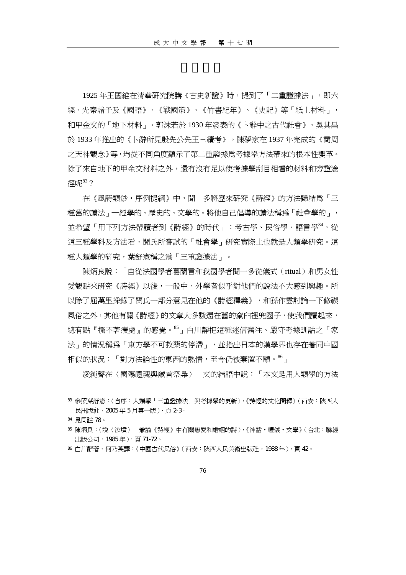1925年王國維在清華研究院講《古史新證》時,提到了「二重證據法」, 即六 經、先秦諸子及《國語》、《戰國策》、《竹書紀年》、《史記》等「紙上材料」, 和甲金文的「地下材料」。郭沫若於 1930 年發表的《卜辭中之古代社會》、吳其昌 於 1933 年推出的《卜辭所見殷先公先王三續考》,陳夢家在 1937 年完成的《商周 之天神觀念》等,均從不同角度顯示了第二重證據為考據學方法帶來的根本性變革。 除了來自地下的甲金文材料之外,還有沒有足以使考據學刮目相看的材料和旁證途 徑呢<sup>83</sup>?

在《風詩類鈔‧序例提綱》中,聞一多將歷來研究《詩經》的方法歸結為「三 種舊的讀法」一經學的、歷史的、文學的。將他自己倡導的讀法稱為「社會學的」, 並希望「用下列方法帶讀者到《詩經》的時代」:考古學、民俗學、語言學<sup>84</sup>。從 這三種學科及方法看,聞氏所嘗試的「社會學」研究實際上也就是人類學研究。這 種人類學的研究,葉舒憲稱之為「三重證據法」。

陳炳良說:「自從法國學者葛蘭言和我國學者聞一多從儀式 (ritual) 和男女性 愛觀點來研究《詩經》以後,一般中、外學者似乎對他們的說法不大感到興趣。所 以除了屈萬里採錄了聞氏一部分意見在他的《詩經釋義》,和孫作雲討論一下修禊 風俗之外,其他有關《詩經》的文章大多數還在舊的窠臼裡兜圈子,使我們讀起來, 總有點『搔不著癢處』的感覺。<sup>85</sup>」白川靜把這種迷信舊注、嚴守考據訓詁之「家 法」的情況稱為「東方學不可救藥的停滯」,並指出日本的漢學界也存在著同中國 相似的狀況:「對方法論性的東西的熱情,至今仍被棄置不顧。 $^{86}$ 」

凌純聲在〈國殤禮魂與馘首祭梟〉一文的結語中說:「本文是用人類學的方法

<sup>83</sup> 參照葉舒憲:〈自序:人類學「三重證據法」與考據學的更新〉,《詩經的文化闡釋》(西安:陜西人 民出版社,2005 年 5 月第一版),頁 2-3。

<sup>84</sup> 見同註 78。

<sup>85</sup> 陳炳良:〈說〈汝墳〉─兼論《詩經》中有關戀愛和婚姻的詩〉,《神話‧禮儀‧文學》(台北:聯經 出版公司,1985 年),頁 71-72。

<sup>86</sup> 白川靜著、何乃英譯:《中國古代民俗》(西安:陜西人民美術出版社,1988 年),頁 42。